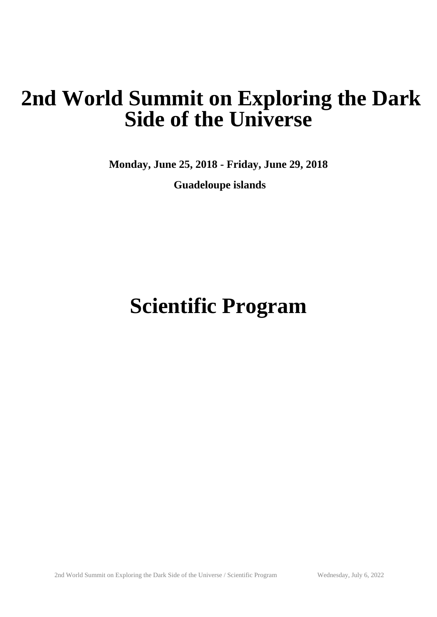## **2nd World Summit on Exploring the Dark Side of the Universe**

**Monday, June 25, 2018 - Friday, June 29, 2018**

 **Guadeloupe islands**

# **Scientific Program**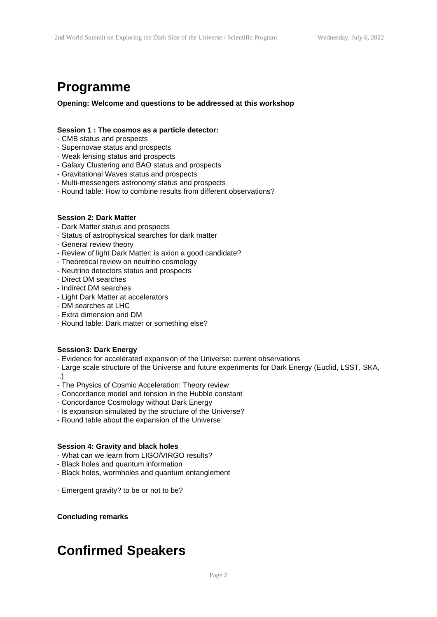### **Programme**

**Opening: Welcome and questions to be addressed at this workshop**

#### **Session 1 : The cosmos as a particle detector:**

- CMB status and prospects
- Supernovae status and prospects
- Weak lensing status and prospects
- Galaxy Clustering and BAO status and prospects
- Gravitational Waves status and prospects
- Multi-messengers astronomy status and prospects
- Round table: How to combine results from different observations?

#### **Session 2: Dark Matter**

- Dark Matter status and prospects
- Status of astrophysical searches for dark matter
- General review theory
- Review of light Dark Matter: is axion a good candidate?
- Theoretical review on neutrino cosmology
- Neutrino detectors status and prospects
- Direct DM searches
- Indirect DM searches
- Light Dark Matter at accelerators
- DM searches at LHC
- Extra dimension and DM
- Round table: Dark matter or something else?

#### **Session3: Dark Energy**

- Evidence for accelerated expansion of the Universe: current observations
- Large scale structure of the Universe and future experiments for Dark Energy (Euclid, LSST, SKA,
- ..)
- The Physics of Cosmic Acceleration: Theory review
- Concordance model and tension in the Hubble constant
- Concordance Cosmology without Dark Energy
- Is expansion simulated by the structure of the Universe?
- Round table about the expansion of the Universe

#### **Session 4: Gravity and black holes**

- What can we learn from LIGO/VIRGO results?
- Black holes and quantum information
- Black holes, wormholes and quantum entanglement
- Emergent gravity? to be or not to be?

**Concluding remarks**

## **Confirmed Speakers**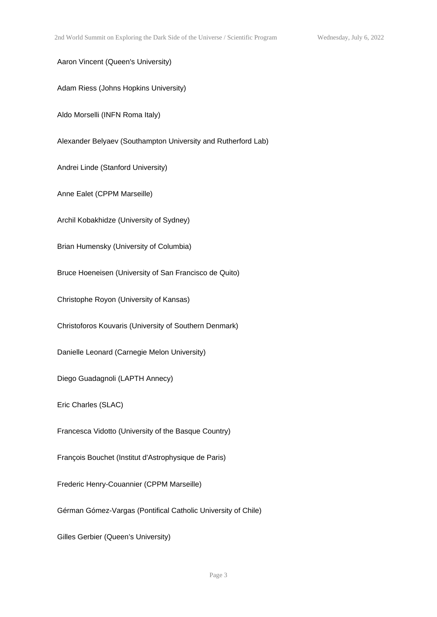Aaron Vincent (Queen's University)

Adam Riess (Johns Hopkins University)

Aldo Morselli (INFN Roma Italy)

Alexander Belyaev (Southampton University and Rutherford Lab)

Andrei Linde (Stanford University)

Anne Ealet (CPPM Marseille)

Archil Kobakhidze (University of Sydney)

Brian Humensky (University of Columbia)

Bruce Hoeneisen (University of San Francisco de Quito)

Christophe Royon (University of Kansas)

Christoforos Kouvaris (University of Southern Denmark)

Danielle Leonard (Carnegie Melon University)

Diego Guadagnoli (LAPTH Annecy)

Eric Charles (SLAC)

Francesca Vidotto (University of the Basque Country)

François Bouchet (Institut d'Astrophysique de Paris)

Frederic Henry-Couannier (CPPM Marseille)

Gérman Gómez-Vargas (Pontifical Catholic University of Chile)

Gilles Gerbier (Queen's University)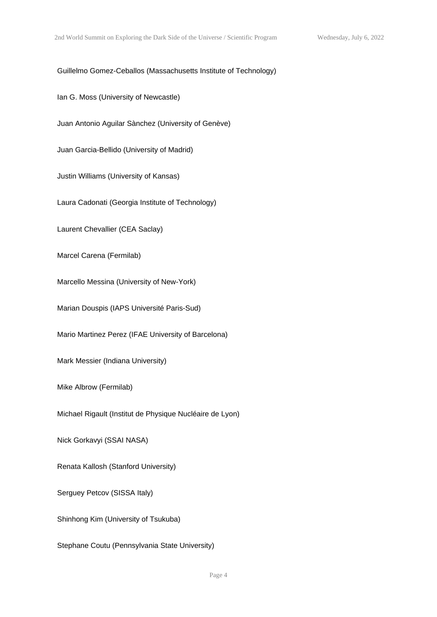#### Guillelmo Gomez-Ceballos (Massachusetts Institute of Technology)

Ian G. Moss (University of Newcastle)

Juan Antonio Aguilar Sànchez (University of Genève)

Juan Garcia-Bellido (University of Madrid)

Justin Williams (University of Kansas)

Laura Cadonati (Georgia Institute of Technology)

Laurent Chevallier (CEA Saclay)

Marcel Carena (Fermilab)

Marcello Messina (University of New-York)

Marian Douspis (IAPS Université Paris-Sud)

Mario Martinez Perez (IFAE University of Barcelona)

Mark Messier (Indiana University)

Mike Albrow (Fermilab)

Michael Rigault (Institut de Physique Nucléaire de Lyon)

Nick Gorkavyi (SSAI NASA)

Renata Kallosh (Stanford University)

Serguey Petcov (SISSA Italy)

Shinhong Kim (University of Tsukuba)

Stephane Coutu (Pennsylvania State University)